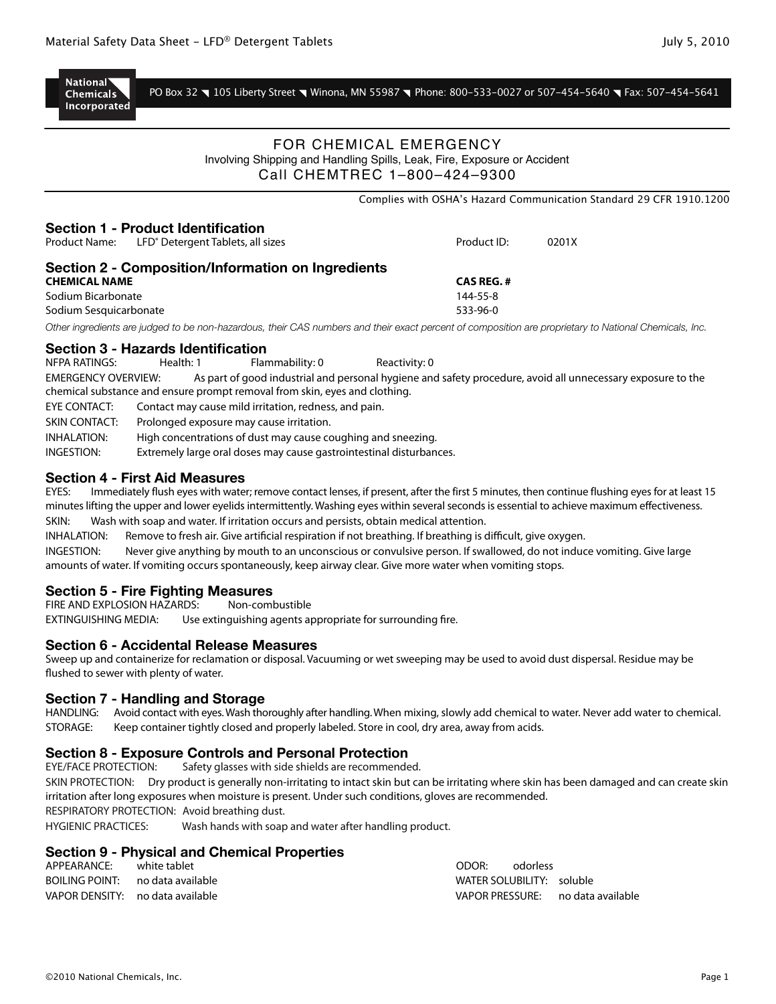

PO Box 32 \ 105 Liberty Street \ Winona, MN 55987 \ Phone: 800-533-0027 or 507-454-5640 \ Fax: 507-454-5641

\Complies with OSHA's Hazard Communication Standard 29 CFR 1910.1200

## FOR CHEMICAL EMERGENCY Involving Shipping and Handling Spills, Leak, Fire, Exposure or Accident Call CHEMTREC 1–800–424–9300

| <b>Section 1 - Product Identification</b><br>Product Name: | LFD <sup>®</sup> Detergent Tablets, all sizes |                                                    | Product ID:                                                                                                                                            | 0201X |  |
|------------------------------------------------------------|-----------------------------------------------|----------------------------------------------------|--------------------------------------------------------------------------------------------------------------------------------------------------------|-------|--|
|                                                            |                                               | Section 2 - Composition/Information on Ingredients |                                                                                                                                                        |       |  |
| <b>CHEMICAL NAME</b>                                       |                                               |                                                    | <b>CAS REG.#</b>                                                                                                                                       |       |  |
| Sodium Bicarbonate                                         |                                               |                                                    | 144-55-8                                                                                                                                               |       |  |
| Sodium Sesquicarbonate                                     |                                               |                                                    | $533-96-0$                                                                                                                                             |       |  |
|                                                            |                                               |                                                    | Other ingredients are judged to be non-hazardous, their CAS numbers and their exact percent of composition are proprietary to National Chemicals, Inc. |       |  |
| <b>Section 3 - Hazards Identification</b>                  |                                               |                                                    |                                                                                                                                                        |       |  |
| NFPA RATINGS:                                              | Health: 1                                     | Flammability: 0                                    | Reactivity: 0                                                                                                                                          |       |  |
|                                                            |                                               |                                                    | $MEDCFMCV$ OUEDULEM. As part of so allieductive second business and of the processive suridally processes avainment of the                             |       |  |

EMERGENCY OVERVIEW: As part of good industrial and personal hygiene and safety procedure, avoid all unnecessary exposure to the chemical substance and ensure prompt removal from skin, eyes and clothing. EYE CONTACT: Contact may cause mild irritation, redness, and pain. SKIN CONTACT: Prolonged exposure may cause irritation. INHALATION: High concentrations of dust may cause coughing and sneezing. INGESTION: Extremely large oral doses may cause gastrointestinal disturbances.

## **Section 4 - First Aid Measures**

EYES: Immediately flush eyes with water; remove contact lenses, if present, after the first 5 minutes, then continue flushing eyes for at least 15 minutes lifting the upper and lower eyelids intermittently. Washing eyes within several seconds is essential to achieve maximum effectiveness. SKIN: Wash with soap and water. If irritation occurs and persists, obtain medical attention.

INHALATION: Remove to fresh air. Give artificial respiration if not breathing. If breathing is difficult, give oxygen.

INGESTION: Never give anything by mouth to an unconscious or convulsive person. If swallowed, do not induce vomiting. Give large amounts of water. If vomiting occurs spontaneously, keep airway clear. Give more water when vomiting stops.

## **Section 5 - Fire Fighting Measures**

FIRE AND EXPLOSION HAZARDS: Non-combustible EXTINGUISHING MEDIA: Use extinguishing agents appropriate for surrounding fire.

#### **Section 6 - Accidental Release Measures**

Sweep up and containerize for reclamation or disposal. Vacuuming or wet sweeping may be used to avoid dust dispersal. Residue may be flushed to sewer with plenty of water.

#### **Section 7 - Handling and Storage**

HANDLING: Avoid contact with eyes. Wash thoroughly after handling. When mixing, slowly add chemical to water. Never add water to chemical. STORAGE: Keep container tightly closed and properly labeled. Store in cool, dry area, away from acids.

# **Section 8 - Exposure Controls and Personal Protection**<br>EYE/FACE PROTECTION: Safety glasses with side shields are recommende

Safety glasses with side shields are recommended. SKIN PROTECTION: Dry product is generally non-irritating to intact skin but can be irritating where skin has been damaged and can create skin irritation after long exposures when moisture is present. Under such conditions, gloves are recommended.

RESPIRATORY PROTECTION: Avoid breathing dust.

HYGIENIC PRACTICES: Wash hands with soap and water after handling product.

## **Section 9 - Physical and Chemical Properties**

| APPEARANCE:                      | white tablet | ODOR:                     | odorless |                                   |
|----------------------------------|--------------|---------------------------|----------|-----------------------------------|
| BOILING POINT: no data available |              | WATER SOLUBILITY: soluble |          |                                   |
| VAPOR DENSITY: no data available |              |                           |          | VAPOR PRESSURE: no data available |